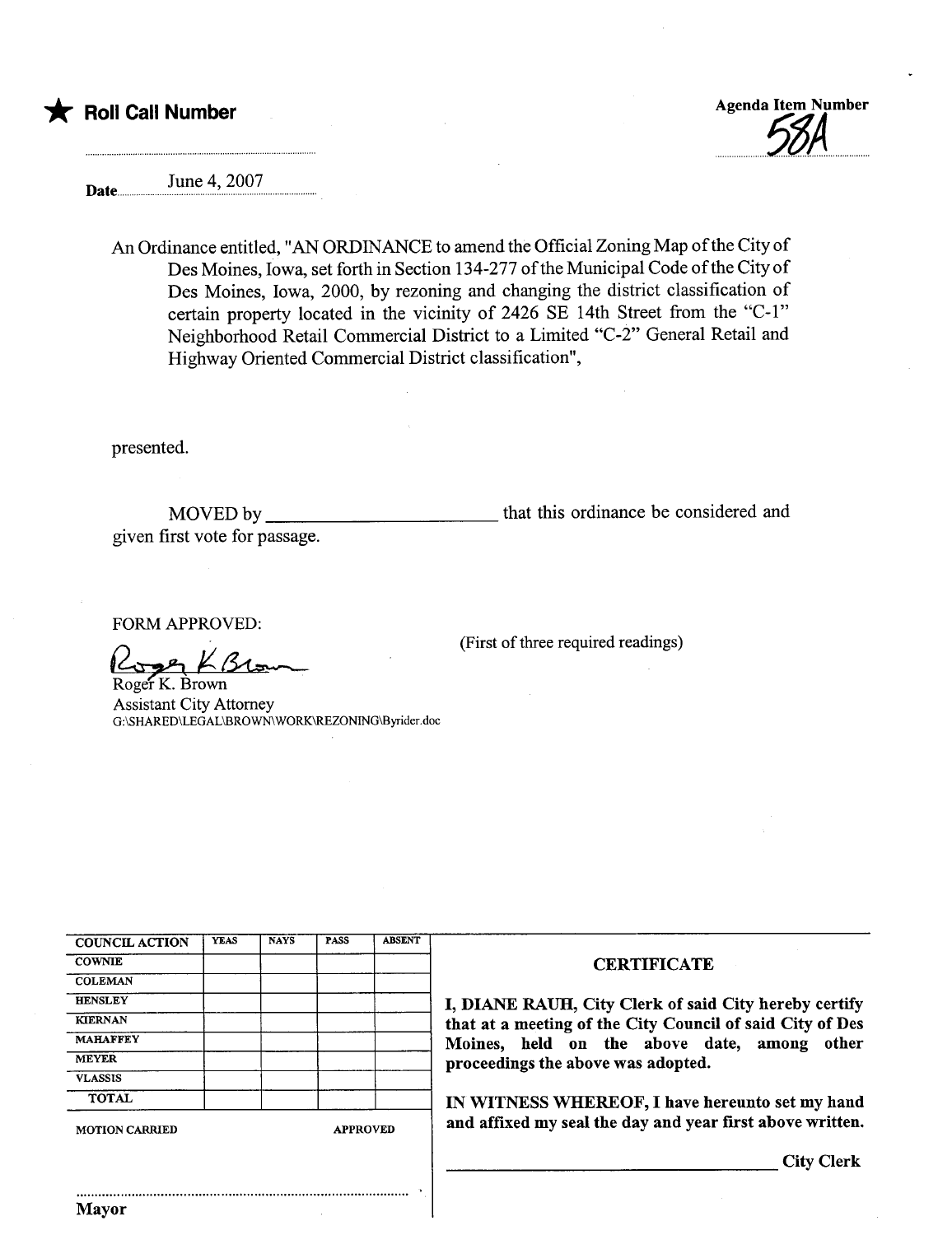

Date........ June 4, 2007

An Ordinance entitled, "AN ORDINANCE to amend the Official Zoning Map ofthe City of Des Moines, Iowa, set forth in Section 134-277 of the Municipal Code of the City of Des Moines, Iowa, 2000, by rezoning and changing the district classification of certain property located in the vicinity of 2426 SE 14th Street from the "C-1" Neighborhood Retail Commercial District to a Limited "C-2" General Retail and Highway Oriented Commercial District classification",

presented.

MOVED by given first vote for passage. that this ordinance be considered and

(First of three required readings)

FORM APPROVED:<br>
Roger K. Brown

Assistant City Attorney G:\SHARED\LEGAL\BROWN WORK\REZONING\Byrder.doc

| <b>COUNCIL ACTION</b> | <b>YEAS</b> | <b>NAYS</b>     | <b>PASS</b> | <b>ABSENT</b> |
|-----------------------|-------------|-----------------|-------------|---------------|
| <b>COWNIE</b>         |             |                 |             |               |
| <b>COLEMAN</b>        |             |                 |             |               |
| <b>HENSLEY</b>        |             |                 |             |               |
| <b>KIERNAN</b>        |             |                 |             |               |
| <b>MAHAFFEY</b>       |             |                 |             |               |
| <b>MEYER</b>          |             |                 |             |               |
| <b>VLASSIS</b>        |             |                 |             |               |
| <b>TOTAL</b>          |             |                 |             |               |
| MOTION CARRIED        |             | <b>APPROVED</b> |             |               |

## **CERTIFICATE**

I, DIANE RAUH, City Clerk of said City hereby certify that at a meeting of the City Council of said City of Des Moines, held on the above date, among other proceedings the above was adopted.

IN WITNESS WHEREOF, I have hereunto set my hand and affixed my seal the day and year first above written.

City Clerk

..........................................................................................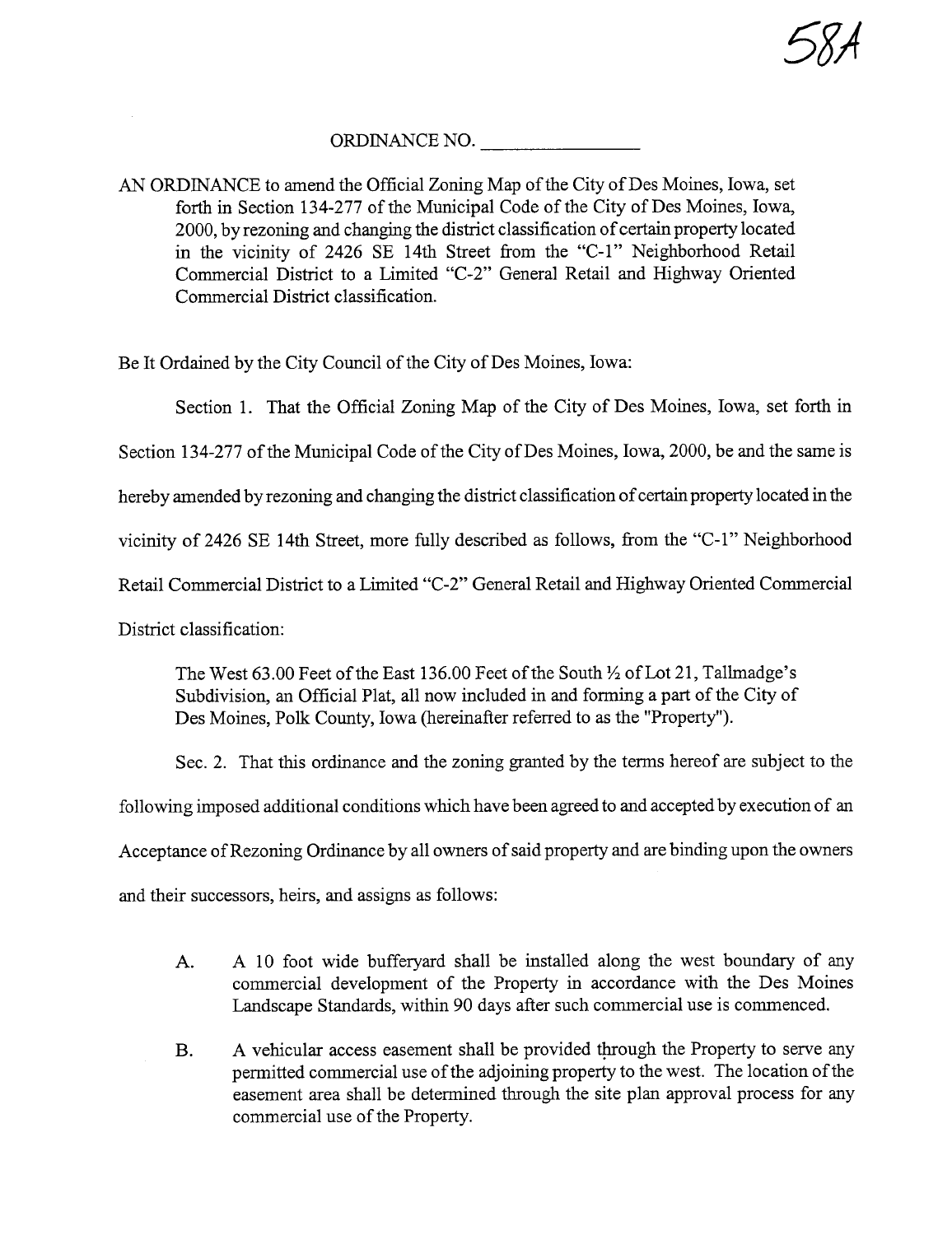

## ORDINANCE NO.

AN ORDINANCE to amend the Official Zoning Map of the City of Des Moines, Iowa, set forth in Section 134-277 of the Municipal Code of the City of Des Moines, Iowa, 2000, by rezoning and changing the district classification of certain property located in the vicinity of 2426 SE 14th Street from the "C-1" Neighborhood Retail Commercial District to a Limited "C-2" General Retail and Highway Oriented Commercial District classification.

Be It Ordained by the City Council of the City of Des Moines, Iowa:

Section 1. That the Official Zoning Map of the City of Des Moines, Iowa, set forth in

Section 134-277 of the Municipal Code of the City of Des Moines, Iowa, 2000, be and the same is

hereby amended by rezoning and changing the district classification of certain property located in the

vicinity of 2426 SE 14th Street, more fully described as follows, from the "C-1" Neighborhood

Retail Commercial District to a Limited "C-2" General Retail and Highway Oriented Commercial

District classification:

The West 63.00 Feet of the East 136.00 Feet of the South  $\frac{1}{2}$  of Lot 21, Tallmadge's Subdivision, an Official Plat, all now included in and forming a part of the City of Des Moines, Polk County, Iowa (hereinafter referred to as the "Property").

Sec. 2. That this ordinance and the zoning granted by the terms hereof are subject to the

following imposed additional conditions which have been agreed to and accepted by execution of an

Acceptance of Rezoning Ordinance by all owners of said property and are binding upon the owners

and their successors, heirs, and assigns as follows:

- A. A 10 foot wide bufferyard shall be installed along the west boundary of any commercial development of the Property in accordance with the Des Moines Landscape Standards, within 90 days after such commercial use is commenced.
- B. A vehicular access easement shall be provided through the Property to serve any permitted commercial use of the adjoining property to the west. The location of the easement area shall be determined through the site plan approval process for any commercial use of the Property.